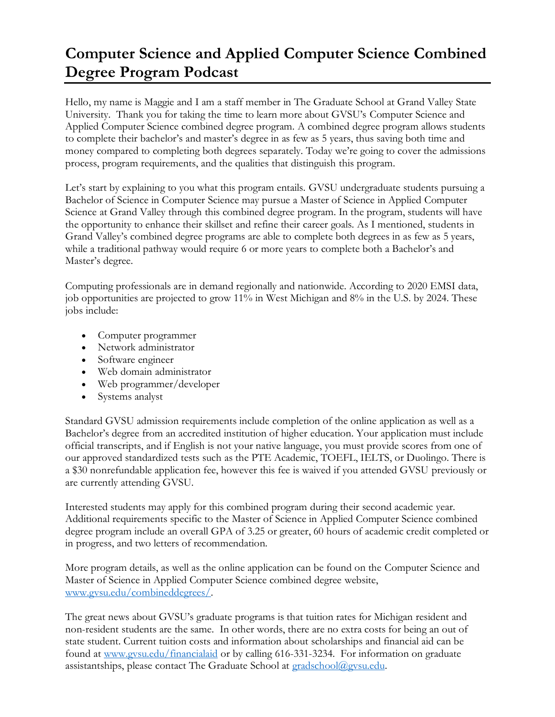## **Computer Science and Applied Computer Science Combined Degree Program Podcast**

Hello, my name is Maggie and I am a staff member in The Graduate School at Grand Valley State University. Thank you for taking the time to learn more about GVSU's Computer Science and Applied Computer Science combined degree program. A combined degree program allows students to complete their bachelor's and master's degree in as few as 5 years, thus saving both time and money compared to completing both degrees separately. Today we're going to cover the admissions process, program requirements, and the qualities that distinguish this program.

Let's start by explaining to you what this program entails. GVSU undergraduate students pursuing a Bachelor of Science in Computer Science may pursue a Master of Science in Applied Computer Science at Grand Valley through this combined degree program. In the program, students will have the opportunity to enhance their skillset and refine their career goals. As I mentioned, students in Grand Valley's combined degree programs are able to complete both degrees in as few as 5 years, while a traditional pathway would require 6 or more years to complete both a Bachelor's and Master's degree.

Computing professionals are in demand regionally and nationwide. According to 2020 EMSI data, job opportunities are projected to grow 11% in West Michigan and 8% in the U.S. by 2024. These jobs include:

- Computer programmer
- Network administrator
- Software engineer
- Web domain administrator
- Web programmer/developer
- Systems analyst

Standard GVSU admission requirements include completion of the online application as well as a Bachelor's degree from an accredited institution of higher education. Your application must include official transcripts, and if English is not your native language, you must provide scores from one of our approved standardized tests such as the PTE Academic, TOEFL, IELTS, or Duolingo. There is a \$30 nonrefundable application fee, however this fee is waived if you attended GVSU previously or are currently attending GVSU.

Interested students may apply for this combined program during their second academic year. Additional requirements specific to the Master of Science in Applied Computer Science combined degree program include an overall GPA of 3.25 or greater, 60 hours of academic credit completed or in progress, and two letters of recommendation.

More program details, as well as the online application can be found on the Computer Science and Master of Science in Applied Computer Science combined degree website, [www.gvsu.edu/combineddegrees/.](http://www.gvsu.edu/combineddegrees/)

The great news about GVSU's graduate programs is that tuition rates for Michigan resident and non-resident students are the same. In other words, there are no extra costs for being an out of state student. Current tuition costs and information about scholarships and financial aid can be found at [www.gvsu.edu/financialaid](http://www.gvsu.edu/financialaid) or by calling 616-331-3234. For information on graduate assistantships, please contact The Graduate School at [gradschool@gvsu.edu.](mailto:gradschool@gvsu.edu)